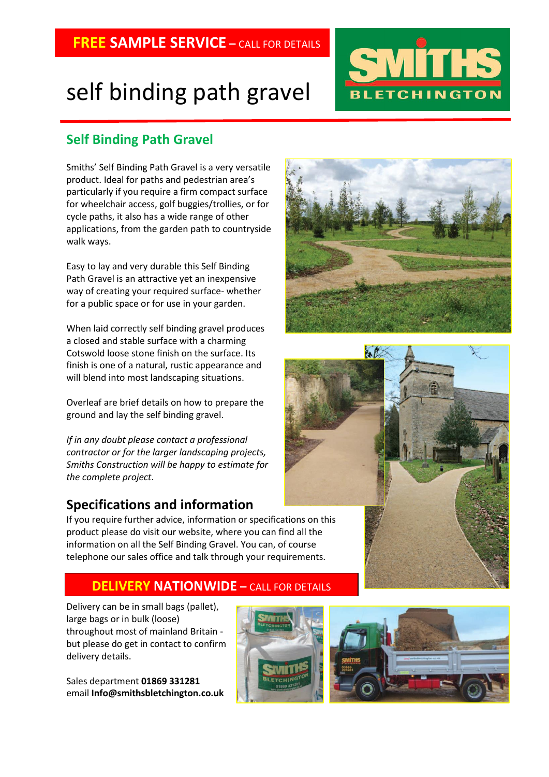# self binding path gravel

# **Self Binding Path Gravel**

Smiths' Self Binding Path Gravel is a very versatile product. Ideal for paths and pedestrian area's particularly if you require a firm compact surface for wheelchair access, golf buggies/trollies, or for cycle paths, it also has a wide range of other applications, from the garden path to countryside walk ways.

Easy to lay and very durable this Self Binding Path Gravel is an attractive yet an inexpensive way of creating your required surface- whether for a public space or for use in your garden.

When laid correctly self binding gravel produces a closed and stable surface with a charming Cotswold loose stone finish on the surface. Its finish is one of a natural, rustic appearance and will blend into most landscaping situations.

Overleaf are brief details on how to prepare the ground and lay the self binding gravel.

*If in any doubt please contact a professional contractor or for the larger landscaping projects, Smiths Construction will be happy to estimate for the complete project*.

## **Specifications and information**

If you require further advice, information or specifications on this product please do visit our website, where you can find all the information on all the Self Binding Gravel. You can, of course telephone our sales office and talk through your requirements.

## **DELIVERY NATIONWIDE –** CALL FOR DETAILS

Delivery can be in small bags (pallet), large bags or in bulk (loose) throughout most of mainland Britain but please do get in contact to confirm delivery details.

Sales department **01869 331281** email **Info@smithsbletchington.co.uk**











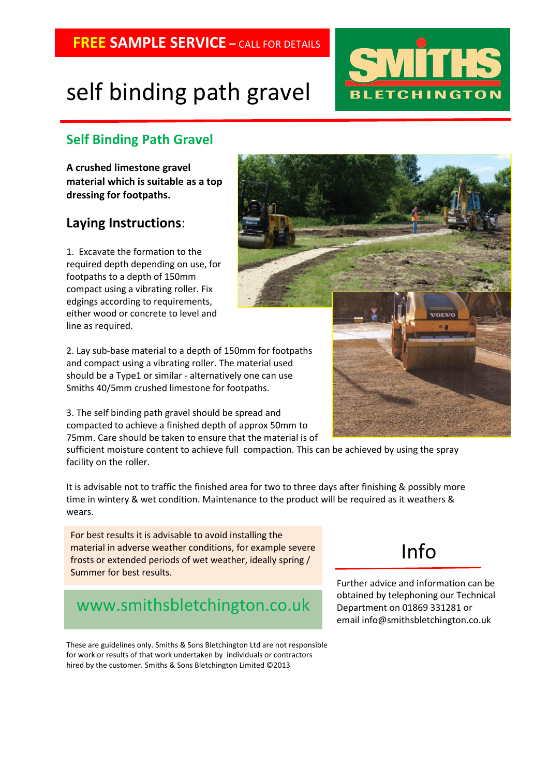# self binding path gravel

# **Self Binding Path Gravel**

**A crushed limestone gravel material which is suitable as a top dressing for footpaths.**

## **Laying Instructions**:

1. Excavate the formation to the required depth depending on use, for footpaths to a depth of 150mm compact using a vibrating roller. Fix edgings according to requirements, either wood or concrete to level and line as required.

2. Lay sub-base material to a depth of 150mm for footpaths and compact using a vibrating roller. The material used should be a Type1 or similar - alternatively one can use Smiths 40/5mm crushed limestone for footpaths.

3. The self binding path gravel should be spread and compacted to achieve a finished depth of approx 50mm to 75mm. Care should be taken to ensure that the material is of

sufficient moisture content to achieve full compaction. This can be achieved by using the spray facility on the roller.

It is advisable not to traffic the finished area for two to three days after finishing & possibly more time in wintery & wet condition. Maintenance to the product will be required as it weathers & wears.

For best results it is advisable to avoid installing the material in adverse weather conditions, for example severe frosts or extended periods of wet weather, ideally spring / Summer for best results.

# www.smithsbletchington.co.uk

These are guidelines only. Smiths & Sons Bletchington Ltd are not responsible for work or results of that work undertaken by individuals or contractors hired by the customer. Smiths & Sons Bletchington Limited ©2013





# Info